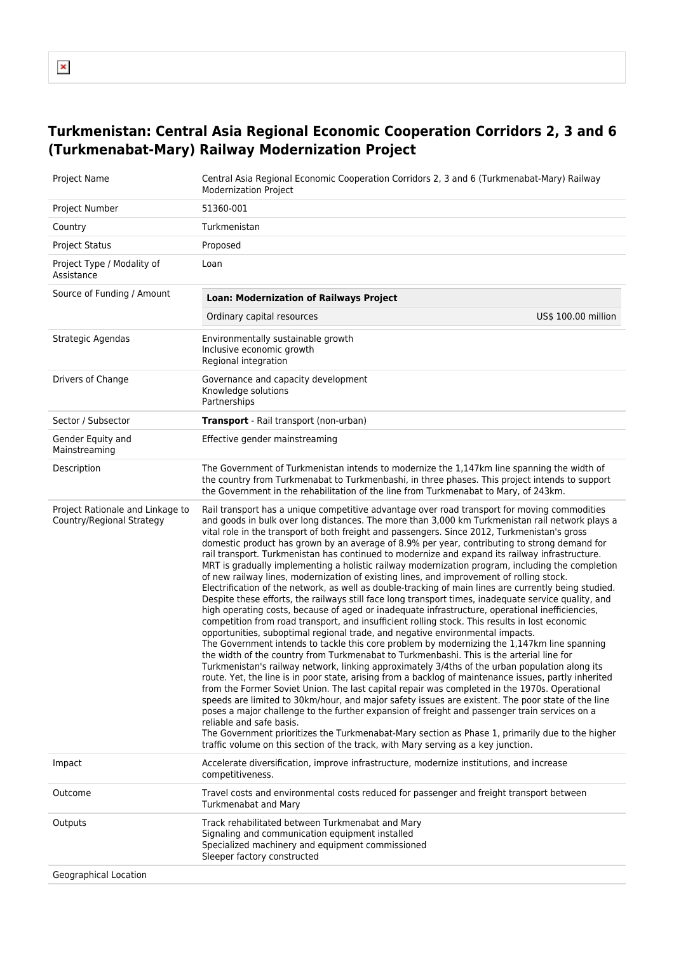## **Turkmenistan: Central Asia Regional Economic Cooperation Corridors 2, 3 and 6 (Turkmenabat-Mary) Railway Modernization Project**

| Project Name                                                  | Central Asia Regional Economic Cooperation Corridors 2, 3 and 6 (Turkmenabat-Mary) Railway<br><b>Modernization Project</b>                                                                                                                                                                                                                                                                                                                                                                                                                                                                                                                                                                                                                                                                                                                                                                                                                                                                                                                                                                                                                                                                                                                                                                                                                                                                                                                                                                                                                                                                                                                                                                                                                                                                                                                                                                                                                                                                                                                                                                                                                |
|---------------------------------------------------------------|-------------------------------------------------------------------------------------------------------------------------------------------------------------------------------------------------------------------------------------------------------------------------------------------------------------------------------------------------------------------------------------------------------------------------------------------------------------------------------------------------------------------------------------------------------------------------------------------------------------------------------------------------------------------------------------------------------------------------------------------------------------------------------------------------------------------------------------------------------------------------------------------------------------------------------------------------------------------------------------------------------------------------------------------------------------------------------------------------------------------------------------------------------------------------------------------------------------------------------------------------------------------------------------------------------------------------------------------------------------------------------------------------------------------------------------------------------------------------------------------------------------------------------------------------------------------------------------------------------------------------------------------------------------------------------------------------------------------------------------------------------------------------------------------------------------------------------------------------------------------------------------------------------------------------------------------------------------------------------------------------------------------------------------------------------------------------------------------------------------------------------------------|
| Project Number                                                | 51360-001                                                                                                                                                                                                                                                                                                                                                                                                                                                                                                                                                                                                                                                                                                                                                                                                                                                                                                                                                                                                                                                                                                                                                                                                                                                                                                                                                                                                                                                                                                                                                                                                                                                                                                                                                                                                                                                                                                                                                                                                                                                                                                                                 |
| Country                                                       | Turkmenistan                                                                                                                                                                                                                                                                                                                                                                                                                                                                                                                                                                                                                                                                                                                                                                                                                                                                                                                                                                                                                                                                                                                                                                                                                                                                                                                                                                                                                                                                                                                                                                                                                                                                                                                                                                                                                                                                                                                                                                                                                                                                                                                              |
| <b>Project Status</b>                                         | Proposed                                                                                                                                                                                                                                                                                                                                                                                                                                                                                                                                                                                                                                                                                                                                                                                                                                                                                                                                                                                                                                                                                                                                                                                                                                                                                                                                                                                                                                                                                                                                                                                                                                                                                                                                                                                                                                                                                                                                                                                                                                                                                                                                  |
| Project Type / Modality of<br>Assistance                      | Loan                                                                                                                                                                                                                                                                                                                                                                                                                                                                                                                                                                                                                                                                                                                                                                                                                                                                                                                                                                                                                                                                                                                                                                                                                                                                                                                                                                                                                                                                                                                                                                                                                                                                                                                                                                                                                                                                                                                                                                                                                                                                                                                                      |
| Source of Funding / Amount                                    | <b>Loan: Modernization of Railways Project</b>                                                                                                                                                                                                                                                                                                                                                                                                                                                                                                                                                                                                                                                                                                                                                                                                                                                                                                                                                                                                                                                                                                                                                                                                                                                                                                                                                                                                                                                                                                                                                                                                                                                                                                                                                                                                                                                                                                                                                                                                                                                                                            |
|                                                               | US\$ 100.00 million<br>Ordinary capital resources                                                                                                                                                                                                                                                                                                                                                                                                                                                                                                                                                                                                                                                                                                                                                                                                                                                                                                                                                                                                                                                                                                                                                                                                                                                                                                                                                                                                                                                                                                                                                                                                                                                                                                                                                                                                                                                                                                                                                                                                                                                                                         |
| Strategic Agendas                                             | Environmentally sustainable growth<br>Inclusive economic growth<br>Regional integration                                                                                                                                                                                                                                                                                                                                                                                                                                                                                                                                                                                                                                                                                                                                                                                                                                                                                                                                                                                                                                                                                                                                                                                                                                                                                                                                                                                                                                                                                                                                                                                                                                                                                                                                                                                                                                                                                                                                                                                                                                                   |
| Drivers of Change                                             | Governance and capacity development<br>Knowledge solutions<br>Partnerships                                                                                                                                                                                                                                                                                                                                                                                                                                                                                                                                                                                                                                                                                                                                                                                                                                                                                                                                                                                                                                                                                                                                                                                                                                                                                                                                                                                                                                                                                                                                                                                                                                                                                                                                                                                                                                                                                                                                                                                                                                                                |
| Sector / Subsector                                            | Transport - Rail transport (non-urban)                                                                                                                                                                                                                                                                                                                                                                                                                                                                                                                                                                                                                                                                                                                                                                                                                                                                                                                                                                                                                                                                                                                                                                                                                                                                                                                                                                                                                                                                                                                                                                                                                                                                                                                                                                                                                                                                                                                                                                                                                                                                                                    |
| Gender Equity and<br>Mainstreaming                            | Effective gender mainstreaming                                                                                                                                                                                                                                                                                                                                                                                                                                                                                                                                                                                                                                                                                                                                                                                                                                                                                                                                                                                                                                                                                                                                                                                                                                                                                                                                                                                                                                                                                                                                                                                                                                                                                                                                                                                                                                                                                                                                                                                                                                                                                                            |
| Description                                                   | The Government of Turkmenistan intends to modernize the 1,147km line spanning the width of<br>the country from Turkmenabat to Turkmenbashi, in three phases. This project intends to support<br>the Government in the rehabilitation of the line from Turkmenabat to Mary, of 243km.                                                                                                                                                                                                                                                                                                                                                                                                                                                                                                                                                                                                                                                                                                                                                                                                                                                                                                                                                                                                                                                                                                                                                                                                                                                                                                                                                                                                                                                                                                                                                                                                                                                                                                                                                                                                                                                      |
| Project Rationale and Linkage to<br>Country/Regional Strategy | Rail transport has a unique competitive advantage over road transport for moving commodities<br>and goods in bulk over long distances. The more than 3,000 km Turkmenistan rail network plays a<br>vital role in the transport of both freight and passengers. Since 2012, Turkmenistan's gross<br>domestic product has grown by an average of 8.9% per year, contributing to strong demand for<br>rail transport. Turkmenistan has continued to modernize and expand its railway infrastructure.<br>MRT is gradually implementing a holistic railway modernization program, including the completion<br>of new railway lines, modernization of existing lines, and improvement of rolling stock.<br>Electrification of the network, as well as double-tracking of main lines are currently being studied.<br>Despite these efforts, the railways still face long transport times, inadequate service quality, and<br>high operating costs, because of aged or inadequate infrastructure, operational inefficiencies,<br>competition from road transport, and insufficient rolling stock. This results in lost economic<br>opportunities, suboptimal regional trade, and negative environmental impacts.<br>The Government intends to tackle this core problem by modernizing the 1,147km line spanning<br>the width of the country from Turkmenabat to Turkmenbashi. This is the arterial line for<br>Turkmenistan's railway network, linking approximately 3/4ths of the urban population along its<br>route. Yet, the line is in poor state, arising from a backlog of maintenance issues, partly inherited<br>from the Former Soviet Union. The last capital repair was completed in the 1970s. Operational<br>speeds are limited to 30km/hour, and major safety issues are existent. The poor state of the line<br>poses a major challenge to the further expansion of freight and passenger train services on a<br>reliable and safe basis.<br>The Government prioritizes the Turkmenabat-Mary section as Phase 1, primarily due to the higher<br>traffic volume on this section of the track, with Mary serving as a key junction. |
| Impact                                                        | Accelerate diversification, improve infrastructure, modernize institutions, and increase<br>competitiveness.                                                                                                                                                                                                                                                                                                                                                                                                                                                                                                                                                                                                                                                                                                                                                                                                                                                                                                                                                                                                                                                                                                                                                                                                                                                                                                                                                                                                                                                                                                                                                                                                                                                                                                                                                                                                                                                                                                                                                                                                                              |
| Outcome                                                       | Travel costs and environmental costs reduced for passenger and freight transport between<br><b>Turkmenabat and Mary</b>                                                                                                                                                                                                                                                                                                                                                                                                                                                                                                                                                                                                                                                                                                                                                                                                                                                                                                                                                                                                                                                                                                                                                                                                                                                                                                                                                                                                                                                                                                                                                                                                                                                                                                                                                                                                                                                                                                                                                                                                                   |
| Outputs                                                       | Track rehabilitated between Turkmenabat and Mary<br>Signaling and communication equipment installed<br>Specialized machinery and equipment commissioned<br>Sleeper factory constructed                                                                                                                                                                                                                                                                                                                                                                                                                                                                                                                                                                                                                                                                                                                                                                                                                                                                                                                                                                                                                                                                                                                                                                                                                                                                                                                                                                                                                                                                                                                                                                                                                                                                                                                                                                                                                                                                                                                                                    |
| Geographical Location                                         |                                                                                                                                                                                                                                                                                                                                                                                                                                                                                                                                                                                                                                                                                                                                                                                                                                                                                                                                                                                                                                                                                                                                                                                                                                                                                                                                                                                                                                                                                                                                                                                                                                                                                                                                                                                                                                                                                                                                                                                                                                                                                                                                           |